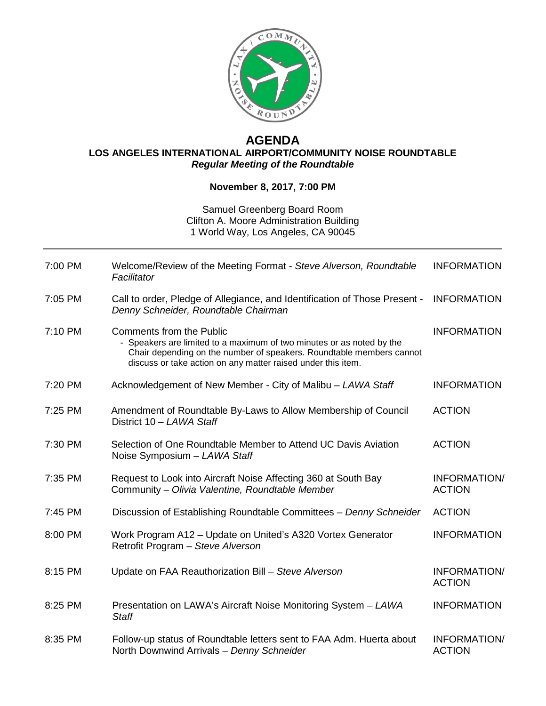

## **AGENDA LOS ANGELES INTERNATIONAL AIRPORT/COMMUNITY NOISE ROUNDTABLE** *Regular Meeting of the Roundtable*

## **November 8, 2017, 7:00 PM**

## Samuel Greenberg Board Room Clifton A. Moore Administration Building 1 World Way, Los Angeles, CA 90045

| 7:00 PM | Welcome/Review of the Meeting Format - Steve Alverson, Roundtable<br>Facilitator                                                                                                                                                                 | <b>INFORMATION</b>                   |
|---------|--------------------------------------------------------------------------------------------------------------------------------------------------------------------------------------------------------------------------------------------------|--------------------------------------|
| 7:05 PM | Call to order, Pledge of Allegiance, and Identification of Those Present -<br>Denny Schneider, Roundtable Chairman                                                                                                                               | <b>INFORMATION</b>                   |
| 7:10 PM | <b>Comments from the Public</b><br>- Speakers are limited to a maximum of two minutes or as noted by the<br>Chair depending on the number of speakers. Roundtable members cannot<br>discuss or take action on any matter raised under this item. | <b>INFORMATION</b>                   |
| 7:20 PM | Acknowledgement of New Member - City of Malibu - LAWA Staff                                                                                                                                                                                      | <b>INFORMATION</b>                   |
| 7:25 PM | Amendment of Roundtable By-Laws to Allow Membership of Council<br>District 10 - LAWA Staff                                                                                                                                                       | <b>ACTION</b>                        |
| 7:30 PM | Selection of One Roundtable Member to Attend UC Davis Aviation<br>Noise Symposium - LAWA Staff                                                                                                                                                   | <b>ACTION</b>                        |
| 7:35 PM | Request to Look into Aircraft Noise Affecting 360 at South Bay<br>Community - Olivia Valentine, Roundtable Member                                                                                                                                | INFORMATION/<br><b>ACTION</b>        |
| 7:45 PM | Discussion of Establishing Roundtable Committees - Denny Schneider                                                                                                                                                                               | <b>ACTION</b>                        |
| 8:00 PM | Work Program A12 - Update on United's A320 Vortex Generator<br>Retrofit Program - Steve Alverson                                                                                                                                                 | <b>INFORMATION</b>                   |
| 8:15 PM | Update on FAA Reauthorization Bill - Steve Alverson                                                                                                                                                                                              | INFORMATION/<br><b>ACTION</b>        |
| 8:25 PM | Presentation on LAWA's Aircraft Noise Monitoring System - LAWA<br><b>Staff</b>                                                                                                                                                                   | <b>INFORMATION</b>                   |
| 8:35 PM | Follow-up status of Roundtable letters sent to FAA Adm. Huerta about<br>North Downwind Arrivals - Denny Schneider                                                                                                                                | <b>INFORMATION/</b><br><b>ACTION</b> |